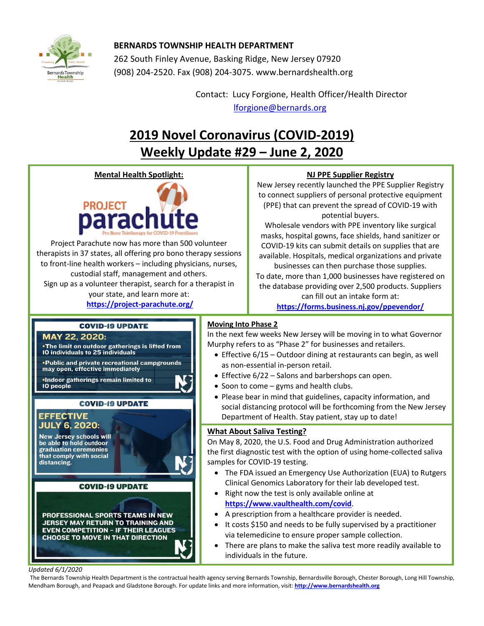

## **BERNARDS TOWNSHIP HEALTH DEPARTMENT**

262 South Finley Avenue, Basking Ridge, New Jersey 07920 (908) 204-2520. Fax (908) 204-3075[. www.bernardshealth.org](http://www.bernardshealth.org/)

> Contact: Lucy Forgione, Health Officer/Health Director [lforgione@bernards.org](mailto:lforgione@bernards.org)

# **2019 Novel Coronavirus (COVID-2019) Weekly Update #29 – June 2, 2020**

### **Mental Health Spotlight:**



Project Parachute now has more than 500 volunteer therapists in 37 states, all offering pro bono therapy sessions to front-line health workers – including physicians, nurses, custodial staff, management and others. Sign up as a volunteer therapist, search for a therapist in your state, and learn more at:

**<https://project-parachute.org/>**

## **NJ PPE Supplier Registry**

New Jersey recently launched the PPE Supplier Registry to connect suppliers of personal protective equipment (PPE) that can prevent the spread of COVID-19 with potential buyers.

Wholesale vendors with PPE inventory like surgical masks, hospital gowns, face shields, hand sanitizer or COVID-19 kits can submit details on supplies that are available. Hospitals, medical organizations and private businesses can then purchase those supplies.

To date, more than 1,000 businesses have registered on the database providing over 2,500 products. Suppliers can fill out an intake form at: **<https://forms.business.nj.gov/ppevendor/>**

### **COVID-19 UPDATE**

#### MAY 22, 2020:

. The limit on outdoor gatherings is lifted from 10 individuals to 25 individuals

• Public and private recreational campgrounds may open, effective immediately .Indoor gatherings remain limited to 10 people

# **COVID-19 UPDATE**

#### **EFFECTIVE JULY 6, 2020:**

**New Jersey schools will** be able to hold outdoor graduation ceremonies that comply with social distancing.

#### **COVID-19 UPDATE**

PROFESSIONAL SPORTS TEAMS IN NEW **JERSEY MAY RETURN TO TRAINING AND EVEN COMPETITION - IF THEIR LEAGUES CHOOSE TO MOVE IN THAT DIRECTION** 

# **Moving Into Phase 2**

In the next few weeks New Jersey will be moving in to what Governor Murphy refers to as "Phase 2" for businesses and retailers.

- Effective 6/15 Outdoor dining at restaurants can begin, as well as non-essential in-person retail.
- Effective 6/22 Salons and barbershops can open.
- Soon to come gyms and health clubs.
- Please bear in mind that guidelines, capacity information, and social distancing protocol will be forthcoming from the New Jersey Department of Health. Stay patient, stay up to date!

### **What About Saliva Testing?**

On May 8, 2020, the U.S. Food and Drug Administration authorized the first diagnostic test with the option of using home-collected saliva samples for COVID-19 testing.

- The FDA issued an Emergency Use Authorization (EUA) to Rutgers Clinical Genomics Laboratory for their lab developed test.
- Right now the test is only available online at **<https://www.vaulthealth.com/covid>**.
- A prescription from a healthcare provider is needed.
- It costs \$150 and needs to be fully supervised by a practitioner via telemedicine to ensure proper sample collection.
- There are plans to make the saliva test more readily available to individuals in the future.

#### *Updated 6/1/2020*

The Bernards Township Health Department is the contractual health agency serving Bernards Township, Bernardsville Borough, Chester Borough, Long Hill Township, Mendham Borough, and Peapack and Gladstone Borough. For update links and more information, visit: **[http://www.bernardshealth.org](http://www.bernardshealth.org/)**